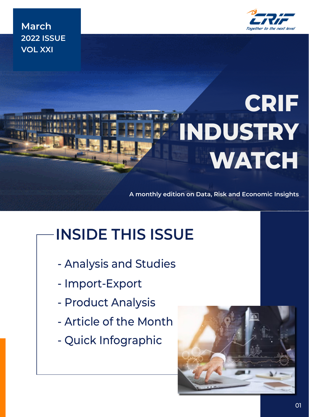

**March 2022 ISSUE VOL XXI**

# **CRIF INDUSTRY WATCH**

**A monthly edition on Data, Risk and Economic Insights**

# **INSIDE THIS ISSUE**

- Analysis and Studies
- Import-Export
- Product Analysis
- Article of the Month
- Quick Infographic

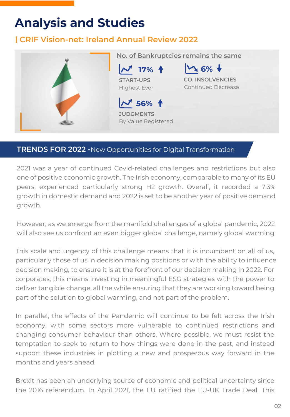## **Analysis and Studies**

### **CRIF Vision-net: Ireland Annual Review 2022**



### **TRENDS FOR 2022 -**New Opportunities for Digital Transformation

2021 was a year of continued Covid-related challenges and restrictions but also one of positive economic growth. The Irish economy, comparable to many of its EU peers, experienced particularly strong H2 growth. Overall, it recorded a 7.3% growth in domestic demand and 2022 is set to be another year of positive demand growth.

However, as we emerge from the manifold challenges of a global pandemic, 2022 will also see us confront an even bigger global challenge, namely global warming.

This scale and urgency of this challenge means that it is incumbent on all of us, particularly those of us in decision making positions or with the ability to influence decision making, to ensure it is at the forefront of our decision making in 2022. For corporates, this means investing in meaningful ESG strategies with the power to deliver tangible change, all the while ensuring that they are working toward being part of the solution to global warming, and not part of the problem.

In parallel, the effects of the Pandemic will continue to be felt across the Irish economy, with some sectors more vulnerable to continued restrictions and changing consumer behaviour than others. Where possible, we must resist the temptation to seek to return to how things were done in the past, and instead support these industries in plotting a new and prosperous way forward in the months and years ahead.

Brexit has been an underlying source of economic and political uncertainty since the 2016 referendum. In April 2021, the EU ratified the EU-UK Trade Deal. This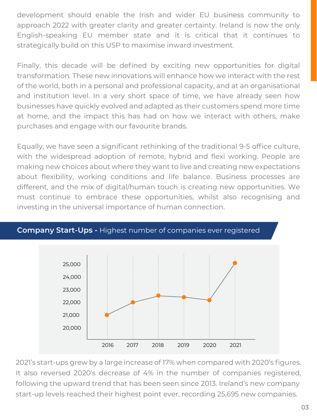development should enable the Irish and wider EU business community to approach 2022 with greater clarity and greater certainty. Ireland is now the only English-speaking EU member state and it is critical that it continues to strategically build on this USP to maximise inward investment.

Finally, this decade will be defined by exciting new opportunities for digital transformation. These new innovations will enhance how we interact with the rest of the world, both in a personal and professional capacity, and at an organisational and institution level. In a very short space of time, we have already seen how businesses have quickly evolved and adapted as their customers spend more time at home, and the impact this has had on how we interact with others, make purchases and engage with our favourite brands.

Equally, we have seen a significant rethinking of the traditional 9-5 office culture, with the widespread adoption of remote, hybrid and flexi working. People are making new choices about where they want to live and creating new expectations about flexibility, working conditions and life balance. Business processes are different, and the mix of digital/human touch is creating new opportunities. We must continue to embrace these opportunities, whilst also recognising and investing in the universal importance of human connection.



### **Company Start-Ups -** Highest number of companies ever registered

2021's start-ups grew by a large increase of 17% when compared with 2020's figures. It also reversed 2020's decrease of 4% in the number of companies registered, following the upward trend that has been seen since 2013. Ireland's new company start-up levels reached their highest point ever, recording 25,695 new companies.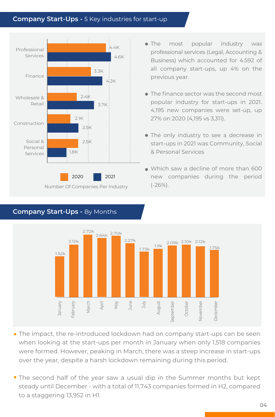### **Company Start-Ups -** 5 Key industries for start-up



- The most popular industry was professional services (Legal, Accounting & Business) which accounted for 4.592 of all company start-ups, up 4% on the previous year.
- The finance sector was the second most popular industry for start-ups in 2021. 4,195 new companies were set-up, up 27% on 2020 (4,195 vs 3,311).
- The only industry to see a decrease in start-ups in 2021 was Community, Social & Personal Services
- Which saw a decline of more than 600 new companies during the period (-26%).





- The impact, the re-introduced lockdown had on company start-ups can be seen when looking at the start-ups per month in January when only 1,518 companies were formed. However, peaking in March, there was a steep increase in start-ups over the year, despite a harsh lockdown remaining during this period.
- The second half of the year saw a usual dip in the Summer months but kept steady until December - with a total of 11,743 companies formed in H2, compared to a staggering 13,952 in H1.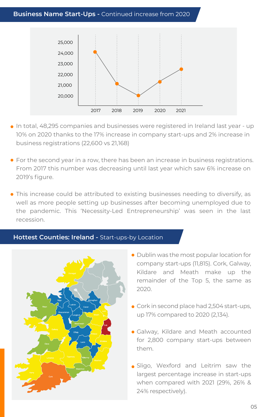### **Business Name Start-Ups -** Continued increase from 2020



- In total, 48,295 companies and businesses were registered in Ireland last year up 10% on 2020 thanks to the 17% increase in company start-ups and 2% increase in business registrations (22,600 vs 21,168)
- For the second year in a row, there has been an increase in business registrations. From 2017 this number was decreasing until last year which saw 6% increase on 2019's figure.
- This increase could be attributed to existing businesses needing to diversify, as well as more people setting up businesses after becoming unemployed due to the pandemic. This 'Necessity-Led Entrepreneurship' was seen in the last recession.

### **Hottest Counties: Ireland -** Start-ups-by Location



- Dublin was the most popular location for company start-ups (11,815). Cork, Galway, Kildare and Meath make up the remainder of the Top 5, the same as 2020.
- Cork in second place had 2,504 start-ups, up 17% compared to 2020 (2,134).
- Galway, Kildare and Meath accounted for 2,800 company start-ups between them.
- **Sligo, Wexford and Leitrim saw the** largest percentage increase in start-ups when compared with 2021 (29%, 26% & 24% respectively).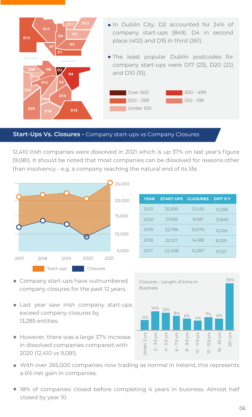

### **Start-Ups Vs. Closures -** Company start-ups vs Company Closures

12,410 Irish companies were dissolved in 2021 which is up 37% on last year's figure (9,081). It should be noted that most companies can be dissolved for reasons other than insolvency - e.g. a company reaching the natural end of its life.



| <b>YEAR</b> | <b>START-UPS</b> | <b>CLOSURES</b> | <b>DIFF P.Y</b> |
|-------------|------------------|-----------------|-----------------|
| 2021        | 25,695           | 12,410          | 13,285          |
| 2020        | 21,926           | 9,081           | 12,845          |
| 2019        | 22,796           | 12,670          | 10,126          |
| 2018        | 22,517           | 14,188          | 8,329           |
| 2017        | 22,408           | 12,287          | 10,121          |

- Company start-ups have outnumbered company closures for the past 12 years.
- Last year saw Irish company start-ups exceed company closures by 13,285 entities.
- However, there was a large 37% increase in dissolved companies compared with 2020 (12,410 vs 9,081).



- With over 265,000 companies now trading as normal in Ireland, this represents a 6% net gain in companies.
- 18% of companies closed before completing 4 years in business. Almost half closed by year 10.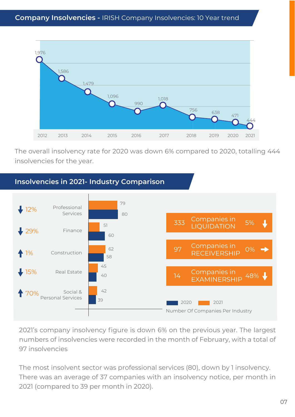

The overall insolvency rate for 2020 was down 6% compared to 2020, totalling 444 insolvencies for the year.



2021's company insolvency figure is down 6% on the previous year. The largest numbers of insolvencies were recorded in the month of February, with a total of 97 insolvencies

The most insolvent sector was professional services (80), down by 1 insolvency. There was an average of 37 companies with an insolvency notice, per month in 2021 (compared to 39 per month in 2020).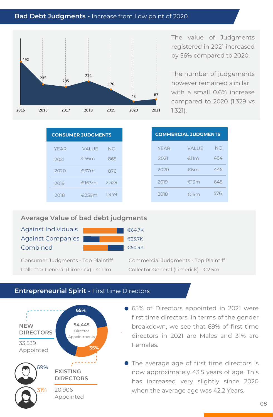### **Bad Debt Judgments -** Increase from Low point of 2020



The value of Judgments registered in 2021 increased by 56% compared to 2020.

The number of judgements however remained similar with a small 0.6% increase compared to 2020 (1,329 vs 1,321).

| <b>CONSUMER JUDGMENTS</b> |                |       |  |
|---------------------------|----------------|-------|--|
| YFAR                      | VAI UF         | NO.   |  |
| 2021                      | €.56m          | 865   |  |
| 2020                      | $\epsilon$ 37m | 876   |  |
| 2019                      | €163 $m$       | 2,329 |  |
| 2018                      | €259m          | 1.949 |  |

|      | <b>ONSUMER JUDGMENTS</b> |       |
|------|--------------------------|-------|
| YFAR | <b>VALUE</b>             | NO.   |
| 2021 | €56 $m$                  | 865   |
| 2020 | €37 $m$                  | 876   |
| 2019 | €163m                    | 2,329 |
| 2018 | €259m                    | 1,949 |

#### **Average Value of bad debt judgments**

Against Individuals Against Companies Combined

| €64.7K           |
|------------------|
| $\epsilon$ 23.7K |
| €50.4K           |

Collector General (Limerick) - € 1.1m Collector General (Limerick) - €2.5m

Consumer Judgments - Top Plaintiff Commercial Judgments - Top Plaintiff

### **Entrepreneurial Spirit -** First time Directors



- 65% of Directors appointed in 2021 were first time directors. In terms of the gender breakdown, we see that 69% of first time directors in 2021 are Males and 31% are Females.
- The average age of first time directors is now approximately 43.5 years of age. This has increased very slightly since 2020 when the average age was 42.2 Years.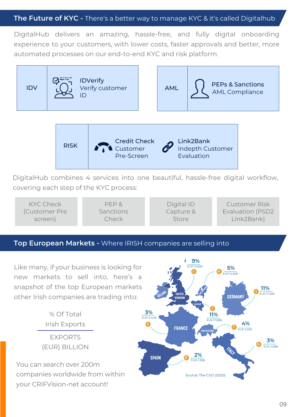### **The Future of KYC -** There's a better way to manage KYC & it's called Digitalhub

DigitalHub delivers an amazing, hassle-free, and fully digital onboarding experience to your customers, with lower costs, faster approvals and better, more automated processes on our end-to-end KYC and risk platform.





DigitalHub combines 4 services into one beautiful, hassle-free digital workflow, covering each step of the KYC process:

KYC Check (Customer Pre screen) PEP & Sanctions Check Digital ID Capture & Store Customer Risk Evaluation (PSD2 Link2Bank)

#### **Top European Markets -** Where IRISH companies are selling into

Like many, if your business is looking for new markets to sell into, here's a snapshot of the top European markets other Irish companies are trading into:

> % Of Total Irish Exports EXPORTS (EUR) BILLION

You can search over 200m companies worldwide from within your CRIFVision-net account!

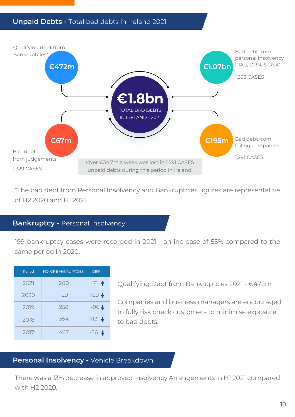### **Unpaid Debts -** Total bad debts in Ireland 2021



\*The bad debt from Personal Insolvency and Bankruptcies figures are representative of H2 2020 and H1 2021.

### **Bankruptcy -** Personal Insolvency

199 bankruptcy cases were recorded in 2021 - an increase of 55% compared to the same period in 2020.

| Period | <b>NO. OF BANKRUPTCIES</b> | <b>DIFF</b>        |
|--------|----------------------------|--------------------|
| 2021   | 200                        | $+71$ $+$          |
| 2020   | 129                        | $-129 +$           |
| 2019   | 258                        | $-96 +$            |
| 2018   | 354                        | $-113 +$           |
| 2017   | 467                        | $-56$ $\downarrow$ |

Qualifying Debt from Bankruptcies 2021 - €472m

Companies and business managers are encouraged to fully risk check customers to minimise exposure to bad debts.

### **Personal Insolvency -** Vehicle Breakdown

There was a 13% decrease in approved Insolvency Arrangements in H1 2021 compared with H2 2020.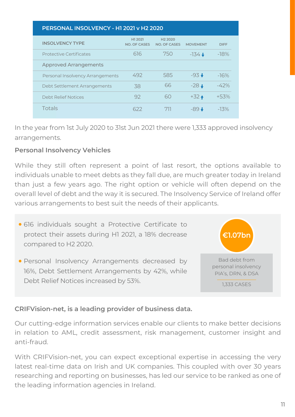| PERSONAL INSOLVENCY - H1 2021 v H2 2020 |                                |                                            |                 |             |  |  |
|-----------------------------------------|--------------------------------|--------------------------------------------|-----------------|-------------|--|--|
| <b>INSOLVENCY TYPE</b>                  | H1 2021<br><b>NO. OF CASES</b> | H <sub>2</sub> 2020<br><b>NO. OF CASES</b> | <b>MOVEMENT</b> | <b>DIFF</b> |  |  |
| <b>Protective Certificates</b>          | 616                            | 750                                        | $-134 +$        | $-18%$      |  |  |
| <b>Approved Arrangements</b>            |                                |                                            |                 |             |  |  |
| Personal Insolvency Arrangements        | 492                            | 585                                        | $-93 +$         | $-16%$      |  |  |
| Debt Settlement Arrangements            | 38                             | 66                                         | $-28 +$         | $-42%$      |  |  |
| Debt Relief Notices                     | 92                             | 60                                         | $+32 +$         | $+53%$      |  |  |
| <b>Totals</b>                           | 622                            | 711                                        | $-89 +$         | $-13%$      |  |  |

In the year from 1st July 2020 to 31st Jun 2021 there were 1,333 approved insolvency arrangements.

### **Personal Insolvency Vehicles**

While they still often represent a point of last resort, the options available to individuals unable to meet debts as they fall due, are much greater today in Ireland than just a few years ago. The right option or vehicle will often depend on the overall level of debt and the way it is secured. The Insolvency Service of Ireland offer various arrangements to best suit the needs of their applicants.

- 616 individuals sought a Protective Certificate to protect their assets during H1 2021, a 18% decrease compared to H2 2020.
- Personal Insolvency Arrangements decreased by 16%, Debt Settlement Arrangements by 42%, while Debt Relief Notices increased by 53%.



### **CRIFVision-net, is a leading provider of business data.**

Our cutting-edge information services enable our clients to make better decisions in relation to AML, credit assessment, risk management, customer insight and anti-fraud.

With CRIFVision-net, you can expect exceptional expertise in accessing the very latest real-time data on Irish and UK companies. This coupled with over 30 years researching and reporting on businesses, has led our service to be ranked as one of the leading information agencies in Ireland.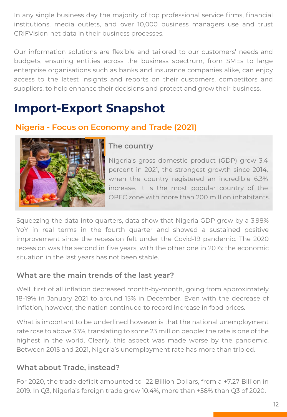In any single business day the majority of top professional service firms, financial institutions, media outlets, and over 10,000 business managers use and trust CRIFVision-net data in their business processes.

Our information solutions are flexible and tailored to our customers' needs and budgets, ensuring entities across the business spectrum, from SMEs to large enterprise organisations such as banks and insurance companies alike, can enjoy access to the latest insights and reports on their customers, competitors and suppliers, to help enhance their decisions and protect and grow their business.

### **Import-Export Snapshot**

### **Nigeria - Focus on Economy and Trade (2021)**



### **The country**

Nigeria's gross domestic product (GDP) grew 3.4 percent in 2021, the strongest growth since 2014, when the country registered an incredible 6.3% increase. It is the most popular country of the OPEC zone with more than 200 million inhabitants.

Squeezing the data into quarters, data show that Nigeria GDP grew by a 3.98% YoY in real terms in the fourth quarter and showed a sustained positive improvement since the recession felt under the Covid-19 pandemic. The 2020 recession was the second in five years, with the other one in 2016: the economic situation in the last years has not been stable.

### **What are the main trends of the last year?**

Well, first of all inflation decreased month-by-month, going from approximately 18-19% in January 2021 to around 15% in December. Even with the decrease of inflation, however, the nation continued to record increase in food prices.

What is important to be underlined however is that the national unemployment rate rose to above 33%, translating to some 23 million people: the rate is one of the highest in the world. Clearly, this aspect was made worse by the pandemic. Between 2015 and 2021, Nigeria's unemployment rate has more than tripled.

### **What about Trade, instead?**

For 2020, the trade deficit amounted to -22 Billion Dollars, from a +7.27 Billion in 2019. In Q3, Nigeria's foreign trade grew 10.4%, more than +58% than Q3 of 2020.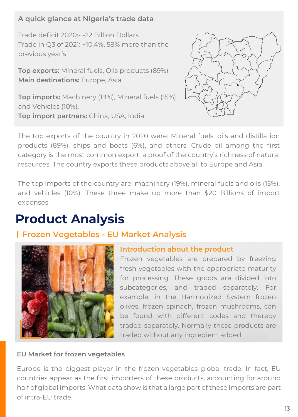### **A quick glance at Nigeria's trade data**

Trade deficit 2020:- -22 Billion Dollars Trade in Q3 of 2021: +10.4%, 58% more than the previous year's

**Top exports:** Mineral fuels, Oils products (89%) **Main destinations:** Europe, Asia

**Top imports:** Machinery (19%), Mineral fuels (15%) and Vehicles (10%). **Top import partners:** China, USA, India



The top exports of the country in 2020 were: Mineral fuels, oils and distillation products (89%), ships and boats (6%), and others. Crude oil among the first category is the most common export, a proof of the country's richness of natural resources. The country exports these products above all to Europe and Asia.

The top imports of the country are: machinery (19%), mineral fuels and oils (15%), and vehicles (10%). These three make up more than \$20 Billions of import expenses.

## **Product Analysis**

### **Frozen Vegetables - EU Market Analysis**



### **Introduction about the product**

Frozen vegetables are prepared by freezing fresh vegetables with the appropriate maturity for processing. These goods are divided into subcategories, and traded separately. For example, in the Harmonized System frozen olives, frozen spinach, frozen mushrooms, can be found with different codes and thereby traded separately. Normally these products are traded without any ingredient added.

### **EU Market for frozen vegetables**

Europe is the biggest player in the frozen vegetables global trade. In fact, EU countries appear as the first importers of these products, accounting for around half of global imports. What data show is that a large part of these imports are part of intra-EU trade.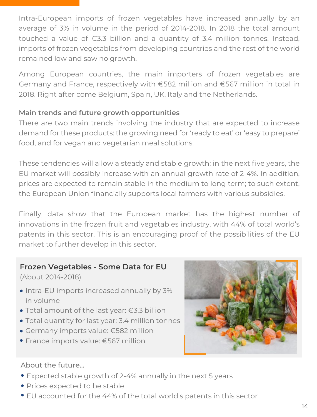Intra-European imports of frozen vegetables have increased annually by an average of 3% in volume in the period of 2014-2018. In 2018 the total amount touched a value of €3.3 billion and a quantity of 3.4 million tonnes. Instead, imports of frozen vegetables from developing countries and the rest of the world remained low and saw no growth.

Among European countries, the main importers of frozen vegetables are Germany and France, respectively with €582 million and €567 million in total in 2018. Right after come Belgium, Spain, UK, Italy and the Netherlands.

### **Main trends and future growth opportunities**

There are two main trends involving the industry that are expected to increase demand for these products: the growing need for 'ready to eat' or 'easy to prepare' food, and for vegan and vegetarian meal solutions.

These tendencies will allow a steady and stable growth: in the next five years, the EU market will possibly increase with an annual growth rate of 2-4%. In addition, prices are expected to remain stable in the medium to long term; to such extent, the European Union financially supports local farmers with various subsidies.

Finally, data show that the European market has the highest number of innovations in the frozen fruit and vegetables industry, with 44% of total world's patents in this sector. This is an encouraging proof of the possibilities of the EU market to further develop in this sector.

### **Frozen Vegetables - Some Data for EU**

(About 2014-2018)

- Intra-EU imports increased annually by 3% in volume
- Total amount of the last year: €3.3 billion
- Total quantity for last year: 3.4 million tonnes
- Germany imports value: €582 million
- France imports value: €567 million



### About the future...

- Expected stable growth of 2-4% annually in the next 5 years
- Prices expected to be stable
- EU accounted for the 44% of the total world's patents in this sector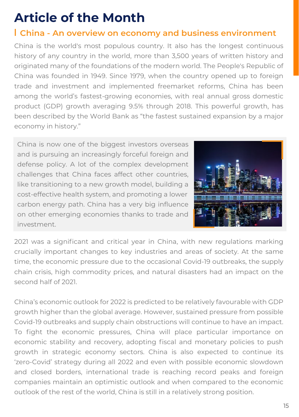# **Article of the Month**

### **China - An overview on economy and business environment**

China is the world's most populous country. It also has the longest continuous history of any country in the world, more than 3,500 years of written history and originated many of the foundations of the modern world. The People's Republic of China was founded in 1949. Since 1979, when the country opened up to foreign trade and investment and implemented freemarket reforms, China has been among the world's fastest-growing economies, with real annual gross domestic product (GDP) growth averaging 9.5% through 2018. This powerful growth, has been described by the World Bank as "the fastest sustained expansion by a major economy in history."

China is now one of the biggest investors overseas and is pursuing an increasingly forceful foreign and defense policy. A lot of the complex development challenges that China faces affect other countries, like transitioning to a new growth model, building a cost-effective health system, and promoting a lower carbon energy path. China has a very big influence on other emerging economies thanks to trade and investment.



2021 was a significant and critical year in China, with new regulations marking crucially important changes to key industries and areas of society. At the same time, the economic pressure due to the occasional Covid-19 outbreaks, the supply chain crisis, high commodity prices, and natural disasters had an impact on the second half of 2021.

China's economic outlook for 2022 is predicted to be relatively favourable with GDP growth higher than the global average. However, sustained pressure from possible Covid-19 outbreaks and supply chain obstructions will continue to have an impact. To fight the economic pressures, China will place particular importance on economic stability and recovery, adopting fiscal and monetary policies to push growth in strategic economy sectors. China is also expected to continue its 'zero-Covid' strategy during all 2022 and even with possible economic slowdown and closed borders, international trade is reaching record peaks and foreign companies maintain an optimistic outlook and when compared to the economic outlook of the rest of the world, China is still in a relatively strong position.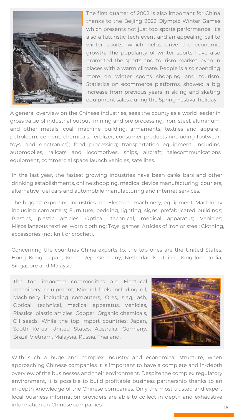

The first quarter of 2002 is also important for China thanks to the Beijing 2022 Olympic Winter Games which presents not just top sports performance. It's also a futuristic tech event and an appealing call to winter sports, which helps drive the economic growth. The popularity of winter sports have also promoted the sports and tourism market, even in places with a warm climate. People is also spending more on winter sports shopping and tourism. Statistics on ecommerce platforms, showed a big increase from previous years in skiing and skating equipment sales during the Spring Festival holiday.

A general overview on the Chinese industries, sees the county as a world leader in gross value of industrial output; mining and ore processing, iron, steel, aluminum, and other metals, coal; machine building; armaments; textiles and apparel; petroleum; cement; chemicals; fertilizer; consumer products (including footwear, toys, and electronics); food processing; transportation equipment, including automobiles, railcars and locomotives, ships, aircraft; telecommunications equipment, commercial space launch vehicles, satellites.

In the last year, the fastest growing industries have been cafés bars and other drinking establishments, online shopping, medical device manufacturing, couriers, alternative fuel cars and automobile manufacturing and internet services.

The biggest exporting industries are: Electrical machinery, equipment; Machinery including computers; Furniture, bedding, lighting, signs, prefabricated buildings; Plastics, plastic articles; Optical, technical, medical apparatus; Vehicles; Miscellaneous textiles, worn clothing; Toys, games; Articles of iron or steel; Clothing, accessories (not knit or crochet).

Concerning the countries China exports to, the top ones are the United States, Hong Kong, Japan, Korea Rep, Germany, Netherlands, United Kingdom, India, Singapore and Malaysia.

The top imported commodities are Electrical machinery, equipment, Mineral fuels including oil, Machinery including computers, Ores, slag, ash, Optical, technical, medical apparatus, Vehicles, Plastics, plastic articles, Copper, Organic chemicals, Oil seeds. While the top import countries: Japan, South Korea, United States, Australia, Germany, Brazil, Vietnam, Malaysia, Russia, Thailand.



With such a huge and complex industry and economical structure, when approaching Chinese companies it is important to have a complete and in-depth overview of the businesses and their environment. Despite the complex regulatory environment, it is possible to build profitable business partnership thanks to an in-depth knowledge of the Chinese companies. Only the most trusted and expert local business information providers are able to collect in depth and exhaustive information on Chinese companies.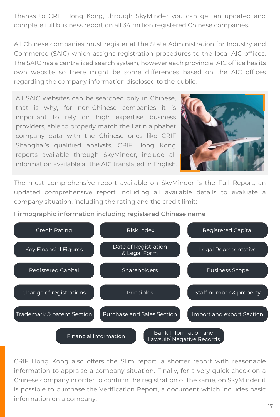Thanks to CRIF Hong Kong, through SkyMinder you can get an updated and complete full business report on all 34 million registered Chinese companies.

All Chinese companies must register at the State Administration for Industry and Commerce (SAIC) which assigns registration procedures to the local AIC offices. The SAIC has a centralized search system, however each provincial AIC office has its own website so there might be some differences based on the AIC offices regarding the company information disclosed to the public.

All SAIC websites can be searched only in Chinese, that is why, for non-Chinese companies it is important to rely on high expertise business providers, able to properly match the Latin alphabet company data with the Chinese ones like CRIF Shanghai's qualified analysts. CRIF Hong Kong reports available through SkyMinder, include all information available at the AIC translated in English.



The most comprehensive report available on SkyMinder is the Full Report, an updated comprehensive report including all available details to evaluate a company situation, including the rating and the credit limit:

Firmographic information including registered Chinese name



CRIF Hong Kong also offers the Slim report, a shorter report with reasonable information to appraise a company situation. Finally, for a very quick check on a Chinese company in order to confirm the registration of the same, on SkyMinder it is possible to purchase the Verification Report, a document which includes basic information on a company.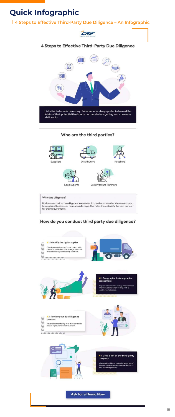# **Quick Infographic**

### **4 Steps to Effective Third-Party Due Diligence – An Infographic**



### 4 Steps to Effective Third-Party Due Diligence



### Who are the third parties?



#### Why due diligence?

Businesses conduct due diligence to evaluate 3rd parties on whether they are exposed to any risk of business or reputation damage. This helps them identify the best partner for their requirements.

### How do you conduct third party due diligence?

#1: Identify the right supplier

Check potential partner's past history with<br>clients to understand the average wait time and consistency in delivering products.

xxxxxxxxx





#### #2: Geographic & demographic assessment

Prepare for economic swings and currency<br>rate fluctuations when dealing with a<br>volatile market space.

#3: Review your due diligence \$\$\$\$\$\$\$\$ process Never stop monitoring your third parties to<br>ensure rightful and timely business. xxxxxxxxx





#### #4: Grab a BIR on the third-party company

Who wouldn't like to make decisions faster?<br>Start with a Business Information Report on<br>your potential partners.

Ask for a Demo Now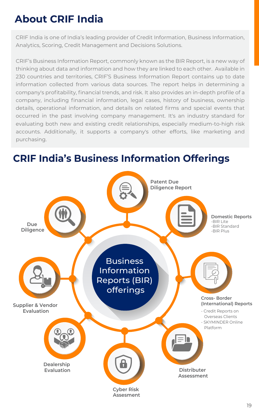# **About CRIF India**

CRIF India is one of India's leading provider of Credit Information, Business Information, Analytics, Scoring, Credit Management and Decisions Solutions.

CRIF's Business Information Report, commonly known as the BIR Report, is a new way of thinking about data and information and how they are linked to each other. Available in 230 countries and territories, CRIF'S Business Information Report contains up to date information collected from various data sources. The report helps in determining a company's profitability, financial trends, and risk. It also provides an in-depth profile of a company, including financial information, legal cases, history of business, ownership details, operational information, and details on related firms and special events that occurred in the past involving company management. It's an industry standard for evaluating both new and existing credit relationships, especially medium-to-high risk accounts. Additionally, it supports a company's other efforts, like marketing and purchasing.

### **CRIF India's Business Information Offerings**